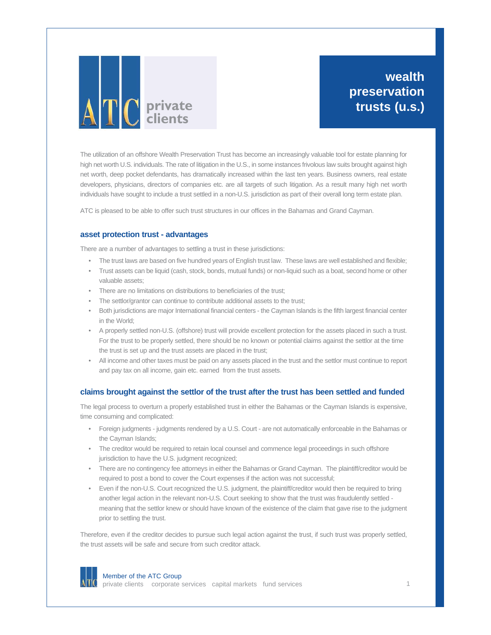

**wealth preservation trusts (u.s.)**

The utilization of an offshore Wealth Preservation Trust has become an increasingly valuable tool for estate planning for high net worth U.S. individuals. The rate of litigation in the U.S., in some instances frivolous law suits brought against high net worth, deep pocket defendants, has dramatically increased within the last ten years. Business owners, real estate developers, physicians, directors of companies etc. are all targets of such litigation. As a result many high net worth individuals have sought to include a trust settled in a non-U.S. jurisdiction as part of their overall long term estate plan.

ATC is pleased to be able to offer such trust structures in our offices in the Bahamas and Grand Cayman.

### **asset protection trust - advantages**

There are a number of advantages to settling a trust in these jurisdictions:

- The trust laws are based on five hundred years of English trust law. These laws are well established and flexible;
- Trust assets can be liquid (cash, stock, bonds, mutual funds) or non-liquid such as a boat, second home or other valuable assets;
- There are no limitations on distributions to beneficiaries of the trust;
- The settlor/grantor can continue to contribute additional assets to the trust;
- Both jurisdictions are major International financial centers the Cayman Islands is the fifth largest financial center in the World;
- A properly settled non-U.S. (offshore) trust will provide excellent protection for the assets placed in such a trust. For the trust to be properly settled, there should be no known or potential claims against the settlor at the time the trust is set up and the trust assets are placed in the trust;
- All income and other taxes must be paid on any assets placed in the trust and the settlor must continue to report and pay tax on all income, gain etc. earned from the trust assets.

## **claims brought against the settlor of the trust after the trust has been settled and funded**

The legal process to overturn a properly established trust in either the Bahamas or the Cayman Islands is expensive, time consuming and complicated:

- Foreign judgments judgments rendered by a U.S. Court are not automatically enforceable in the Bahamas or the Cayman Islands;
- The creditor would be required to retain local counsel and commence legal proceedings in such offshore jurisdiction to have the U.S. judgment recognized;
- There are no contingency fee attorneys in either the Bahamas or Grand Cayman. The plaintiff/creditor would be required to post a bond to cover the Court expenses if the action was not successful;
- Even if the non-U.S. Court recognized the U.S. judgment, the plaintiff/creditor would then be required to bring another legal action in the relevant non-U.S. Court seeking to show that the trust was fraudulently settled meaning that the settlor knew or should have known of the existence of the claim that gave rise to the judgment prior to settling the trust.

Therefore, even if the creditor decides to pursue such legal action against the trust, if such trust was properly settled, the trust assets will be safe and secure from such creditor attack.

#### Member of the ATC Group

private clients corporate services capital markets fund services